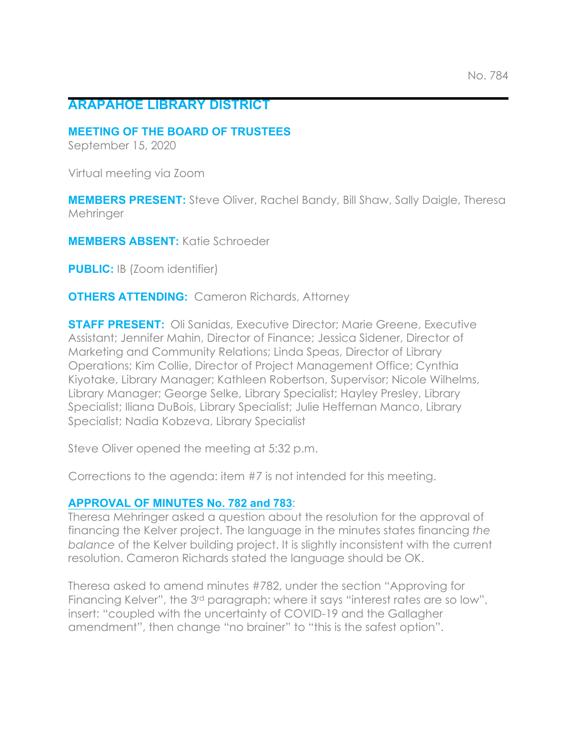## **ARAPAHOE LIBRARY DISTRICT**

#### **MEETING OF THE BOARD OF TRUSTEES**

September 15, 2020

Virtual meeting via Zoom

**MEMBERS PRESENT:** Steve Oliver, Rachel Bandy, Bill Shaw, Sally Daigle, Theresa **Mehringer** 

**MEMBERS ABSENT:** Katie Schroeder

**PUBLIC:** IB (Zoom identifier)

**OTHERS ATTENDING:** Cameron Richards, Attorney

**STAFF PRESENT:** Oli Sanidas, Executive Director; Marie Greene, Executive Assistant; Jennifer Mahin, Director of Finance; Jessica Sidener, Director of Marketing and Community Relations; Linda Speas, Director of Library Operations; Kim Collie, Director of Project Management Office; Cynthia Kiyotake, Library Manager; Kathleen Robertson, Supervisor; Nicole Wilhelms, Library Manager; George Selke, Library Specialist; Hayley Presley, Library Specialist; Iliana DuBois, Library Specialist; Julie Heffernan Manco, Library Specialist; Nadia Kobzeva, Library Specialist

Steve Oliver opened the meeting at 5:32 p.m.

Corrections to the agenda: item #7 is not intended for this meeting.

### **APPROVAL OF MINUTES No. 782 and 783**:

Theresa Mehringer asked a question about the resolution for the approval of financing the Kelver project. The language in the minutes states financing *the balance* of the Kelver building project. It is slightly inconsistent with the current resolution. Cameron Richards stated the language should be OK.

Theresa asked to amend minutes #782, under the section "Approving for Financing Kelver", the 3<sup>rd</sup> paragraph: where it says "interest rates are so low", insert: "coupled with the uncertainty of COVID-19 and the Gallagher amendment", then change "no brainer" to "this is the safest option".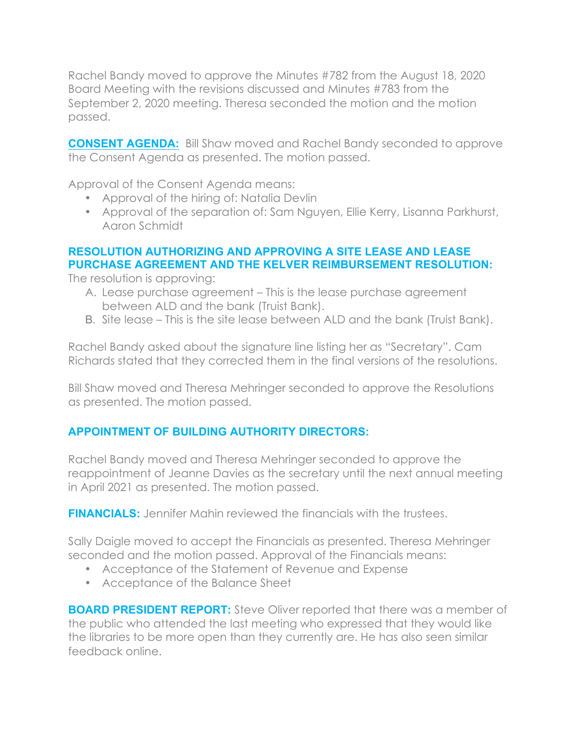Rachel Bandy moved to approve the Minutes #782 from the August 18, 2020 Board Meeting with the revisions discussed and Minutes #783 from the September 2, 2020 meeting. Theresa seconded the motion and the motion passed.

**CONSENT AGENDA:** Bill Shaw moved and Rachel Bandy seconded to approve the Consent Agenda as presented. The motion passed.

Approval of the Consent Agenda means:

- Approval of the hiring of: Natalia Devlin
- Approval of the separation of: Sam Nguyen, Ellie Kerry, Lisanna Parkhurst, Aaron Schmidt

### **RESOLUTION AUTHORIZING AND APPROVING A SITE LEASE AND LEASE PURCHASE AGREEMENT AND THE KELVER REIMBURSEMENT RESOLUTION:**

The resolution is approving:

- A. Lease purchase agreement This is the lease purchase agreement between ALD and the bank (Truist Bank).
- B. Site lease This is the site lease between ALD and the bank (Truist Bank).

Rachel Bandy asked about the signature line listing her as "Secretary". Cam Richards stated that they corrected them in the final versions of the resolutions.

Bill Shaw moved and Theresa Mehringer seconded to approve the Resolutions as presented. The motion passed.

# **APPOINTMENT OF BUILDING AUTHORITY DIRECTORS:**

Rachel Bandy moved and Theresa Mehringer seconded to approve the reappointment of Jeanne Davies as the secretary until the next annual meeting in April 2021 as presented. The motion passed.

**FINANCIALS:** Jennifer Mahin reviewed the financials with the trustees.

Sally Daigle moved to accept the Financials as presented. Theresa Mehringer seconded and the motion passed. Approval of the Financials means:

- Acceptance of the Statement of Revenue and Expense
- Acceptance of the Balance Sheet

**BOARD PRESIDENT REPORT:** Steve Oliver reported that there was a member of the public who attended the last meeting who expressed that they would like the libraries to be more open than they currently are. He has also seen similar feedback online.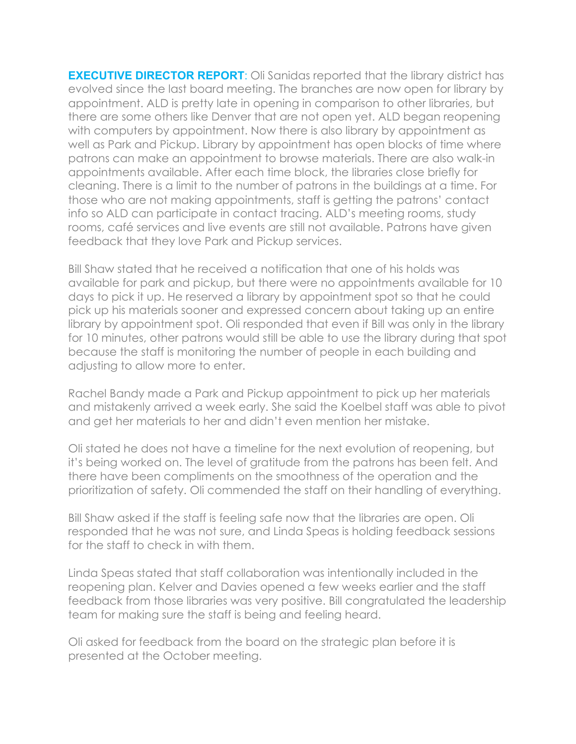**EXECUTIVE DIRECTOR REPORT:** Oli Sanidas reported that the library district has evolved since the last board meeting. The branches are now open for library by appointment. ALD is pretty late in opening in comparison to other libraries, but there are some others like Denver that are not open yet. ALD began reopening with computers by appointment. Now there is also library by appointment as well as Park and Pickup. Library by appointment has open blocks of time where patrons can make an appointment to browse materials. There are also walk-in appointments available. After each time block, the libraries close briefly for cleaning. There is a limit to the number of patrons in the buildings at a time. For those who are not making appointments, staff is getting the patrons' contact info so ALD can participate in contact tracing. ALD's meeting rooms, study rooms, café services and live events are still not available. Patrons have given feedback that they love Park and Pickup services.

Bill Shaw stated that he received a notification that one of his holds was available for park and pickup, but there were no appointments available for 10 days to pick it up. He reserved a library by appointment spot so that he could pick up his materials sooner and expressed concern about taking up an entire library by appointment spot. Oli responded that even if Bill was only in the library for 10 minutes, other patrons would still be able to use the library during that spot because the staff is monitoring the number of people in each building and adjusting to allow more to enter.

Rachel Bandy made a Park and Pickup appointment to pick up her materials and mistakenly arrived a week early. She said the Koelbel staff was able to pivot and get her materials to her and didn't even mention her mistake.

Oli stated he does not have a timeline for the next evolution of reopening, but it's being worked on. The level of gratitude from the patrons has been felt. And there have been compliments on the smoothness of the operation and the prioritization of safety. Oli commended the staff on their handling of everything.

Bill Shaw asked if the staff is feeling safe now that the libraries are open. Oli responded that he was not sure, and Linda Speas is holding feedback sessions for the staff to check in with them.

Linda Speas stated that staff collaboration was intentionally included in the reopening plan. Kelver and Davies opened a few weeks earlier and the staff feedback from those libraries was very positive. Bill congratulated the leadership team for making sure the staff is being and feeling heard.

Oli asked for feedback from the board on the strategic plan before it is presented at the October meeting.